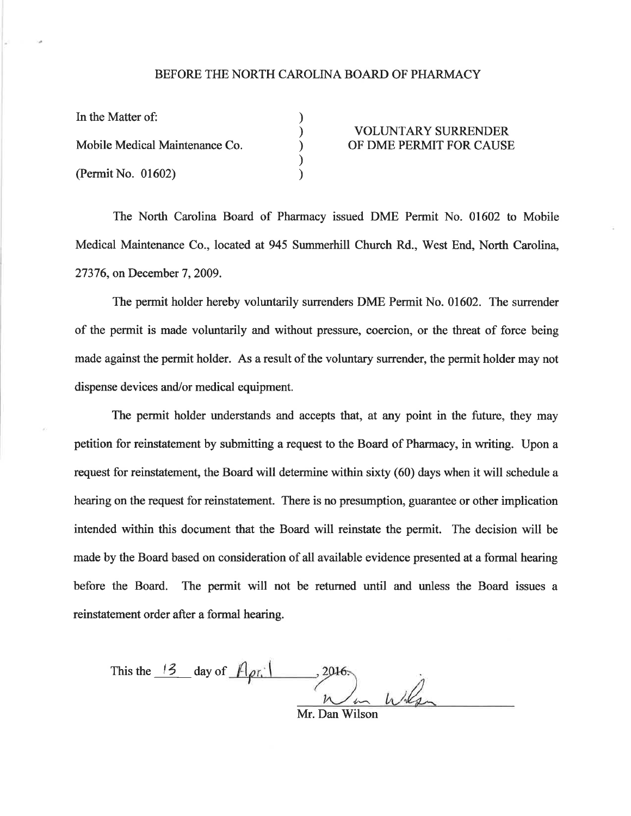## BEFORE THE NORTH CAROLINA BOARD OF PHARMACY

) ) ) ) )

| In the Matter of:              |
|--------------------------------|
| Mobile Medical Maintenance Co. |
| (Permit No. 01602)             |

## VOLUNTARY SURRENDER OF DME PERMIT FOR CAUSE

The North Carolina Board of Pharmacy issued DME Permit No. 01602 to Mobile Medical Maintenance Co., located at 945 Summerhill Church Rd., West End, North Carolina, 27376, on December 7,2009.

The permit holder hereby voluntarily surrenders DME Permit No. 01602. The surrender of the permit is made voluntarily and without pressure, coercion, or the threat of force being made against the permit holder. As a result of the voluntary surrender, the permit holder may not dispense devices and/or medical equipment.

The permit holder understands and accepts that, at any point in the future, they may petition for reinstatement by submitting a request to the Board of Pharmacy, in writing. Upon a request for reinstatement, the Board will determine within sixty (60) days when it will schedule a hearing on the request for reinstatement. There is no presumption, guarantee or other implication intended within this document that the Board will reinstate the permit. The decision will be made by the Board based on consideration of all available evidence presented at a formal hearing before the Board. The permit will not be returned until and unless the Board issues <sup>a</sup> reinstatement order after a formal hearing.

 $\overline{\mathcal{L}}$ This the  $\frac{13}{2}$  day of  $\frac{f}{\sqrt{f}}$  2016. Wilson

Mr. Dan Wilson